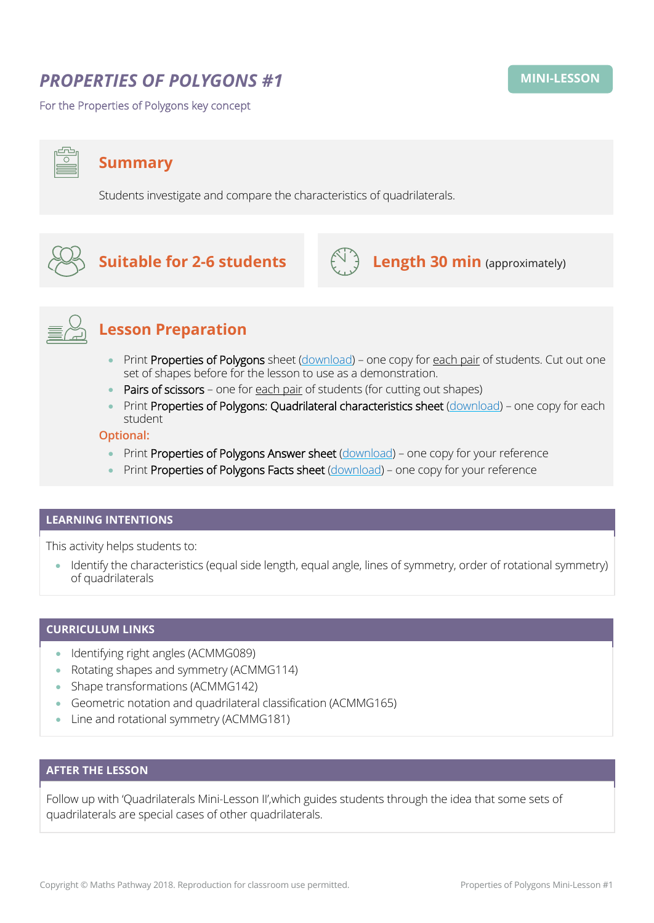# *PROPERTIES OF POLYGONS #1*

For the Properties of Polygons key concept

**Summary**

Students investigate and compare the characteristics of quadrilaterals.



# **Suitable for 2-6 students**  $\left(\bigcup_{i=1}^{n} A_i\right)$  **Length 30 min** (approximately)





## **Lesson Preparation**

- Print Properties of Polygons sheet [\(download\)](http://mpcontent.blob.core.windows.net/public/Quadrilaterals.pdf) one copy for each pair of students. Cut out one set of shapes before for the lesson to use as a demonstration.
- Pairs of scissors one for each pair of students (for cutting out shapes)
- Print Properties of Polygons: Quadrilateral characteristics sheet [\(download\)](http://mpcontent.blob.core.windows.net/public/Quadrilateral%20Characteristics%20sheet.pdf) one copy for each student

## **Optional:**

- Print Properties of Polygons Answer sheet [\(download\)](http://mpcontent.blob.core.windows.net/public/Quadrilaterals%20ANSWER%20sheet.pdf) one copy for your reference
- Print Properties of Polygons Facts sheet [\(download\)](http://mpcontent.blob.core.windows.net/public/Quadrilaterals%20Facts%20sheet.pdf) one copy for your reference

### **LEARNING INTENTIONS**

This activity helps students to:

• Identify the characteristics (equal side length, equal angle, lines of symmetry, order of rotational symmetry) of quadrilaterals

## **CURRICULUM LINKS**

- Identifying right angles (ACMMG089)
- Rotating shapes and symmetry (ACMMG114)
- Shape transformations (ACMMG142)
- Geometric notation and quadrilateral classification (ACMMG165)
- Line and rotational symmetry (ACMMG181)

## **AFTER THE LESSON**

Follow up with 'Quadrilaterals Mini-Lesson II',which guides students through the idea that some sets of quadrilaterals are special cases of other quadrilaterals.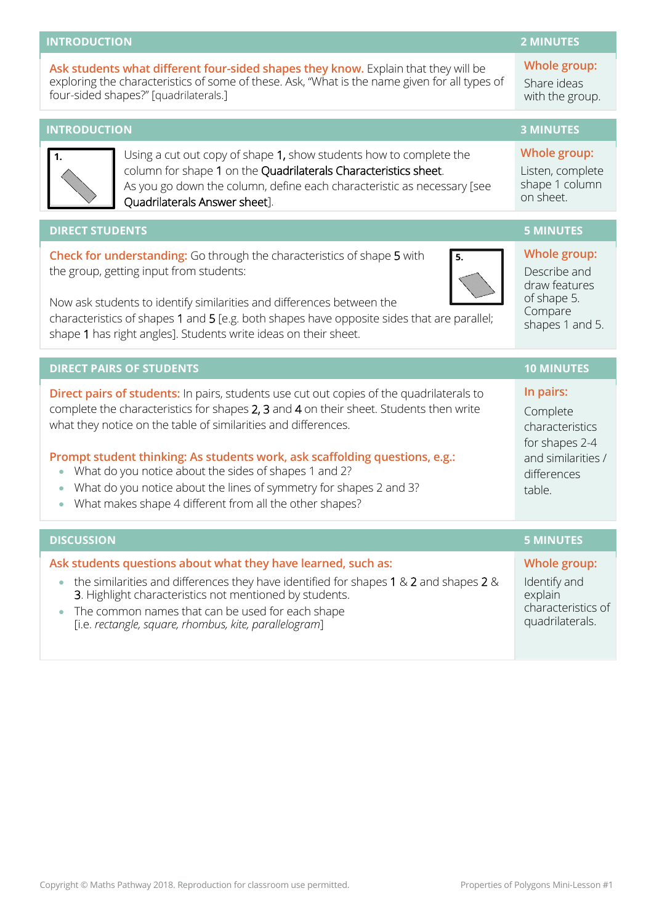### **INTRODUCTION 2 MINUTES**

**Ask students what different four-sided shapes they know.** Explain that they will be exploring the characteristics of some of these. Ask, "What is the name given for all types of four-sided shapes?" [quadrilaterals.]

**INTRODUCTION 3 MINUTES** Using a cut out copy of shape 1, show students how to complete the column for shape 1 on the Quadrilaterals Characteristics sheet. As you go down the column, define each characteristic as necessary [see Quadrilaterals Answer sheet]. **Whole group:** Listen, complete shape 1 column on sheet. **DIRECT STUDENTS 5 MINUTES Check for understanding:** Go through the characteristics of shape 5 with the group, getting input from students: Now ask students to identify similarities and differences between the characteristics of shapes 1 and 5 [e.g. both shapes have opposite sides that are parallel; shape 1 has right angles]. Students write ideas on their sheet. **Whole group:** Describe and draw features of shape 5. Compare shapes 1 and 5. **DIRECT PAIRS OF STUDENTS 10 MINUTES Direct pairs of students:** In pairs, students use cut out copies of the quadrilaterals to complete the characteristics for shapes 2, 3 and 4 on their sheet. Students then write what they notice on the table of similarities and differences. **Prompt student thinking: As students work, ask scaffolding questions, e.g.:** • What do you notice about the sides of shapes 1 and 2? • What do you notice about the lines of symmetry for shapes 2 and 3? • What makes shape 4 different from all the other shapes? **In pairs:**  Complete characteristics for shapes 2-4 and similarities / differences table. **DISCUSSION 5 MINUTES Ask students questions about what they have learned, such as:** • the similarities and differences they have identified for shapes 1 & 2 and shapes 2  $\&$ 3. Highlight characteristics not mentioned by students. • The common names that can be used for each shape [i.e. *rectangle, square, rhombus, kite, parallelogram*] **Whole group:** Identify and explain characteristics of quadrilaterals. **1. 5.**

### **Whole group:** Share ideas with the group.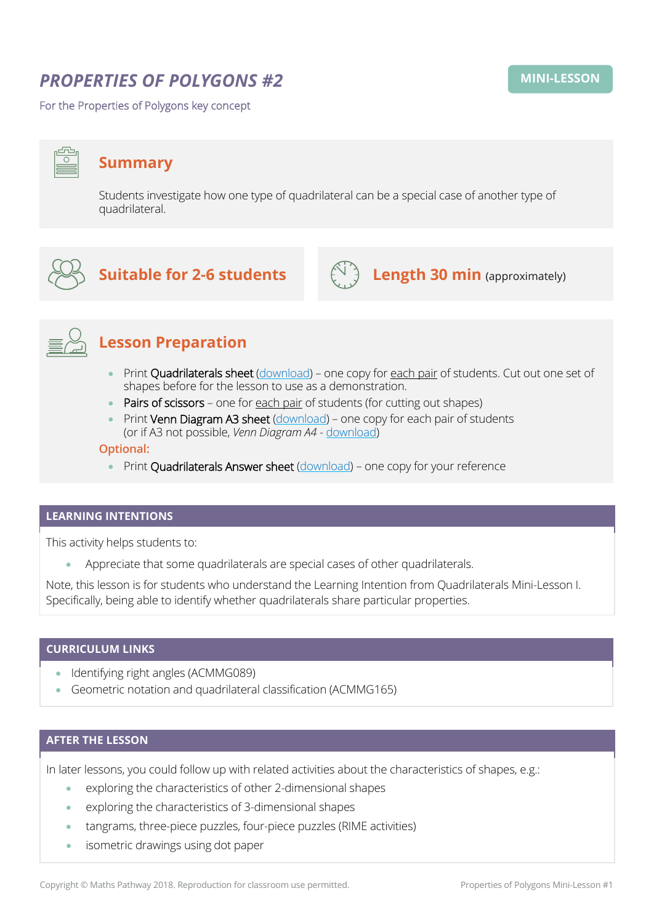# *PROPERTIES OF POLYGONS #2*

For the Properties of Polygons key concept

## **Summary**

Students investigate how one type of quadrilateral can be a special case of another type of quadrilateral.



## **Suitable for 2-6 students**  $\left(\bigcup_{i=1}^{n} A_i\right)$  **Length 30 min** (approximately)





## **Lesson Preparation**

- Print Quadrilaterals sheet [\(download\)](http://mpcontent.blob.core.windows.net/public/Quadrilaterals.pdf) one copy for each pair of students. Cut out one set of shapes before for the lesson to use as a demonstration.
- Pairs of scissors one for each pair of students (for cutting out shapes)
- Print Venn Diagram A3 sheet [\(download\)](http://mpcontent.blob.core.windows.net/public/Venn%20Diagram%20A3.pdf) one copy for each pair of students (or if A3 not possible, *Venn Diagram A4* - [download\)](http://mpcontent.blob.core.windows.net/public/Venn%20Diagram%20A4.pdf)

### **Optional:**

• Print Quadrilaterals Answer sheet [\(download\)](http://mpcontent.blob.core.windows.net/public/Quadrilaterals%20ANSWER%20sheet.pdf) - one copy for your reference

### **LEARNING INTENTIONS**

This activity helps students to:

• Appreciate that some quadrilaterals are special cases of other quadrilaterals.

Note, this lesson is for students who understand the Learning Intention from Quadrilaterals Mini-Lesson I. Specifically, being able to identify whether quadrilaterals share particular properties.

### **CURRICULUM LINKS**

- Identifying right angles (ACMMG089)
- Geometric notation and quadrilateral classification (ACMMG165)

### **AFTER THE LESSON**

In later lessons, you could follow up with related activities about the characteristics of shapes, e.g.:

- exploring the characteristics of other 2-dimensional shapes
- exploring the characteristics of 3-dimensional shapes
- tangrams, three-piece puzzles, four-piece puzzles (RIME activities)
- isometric drawings using dot paper